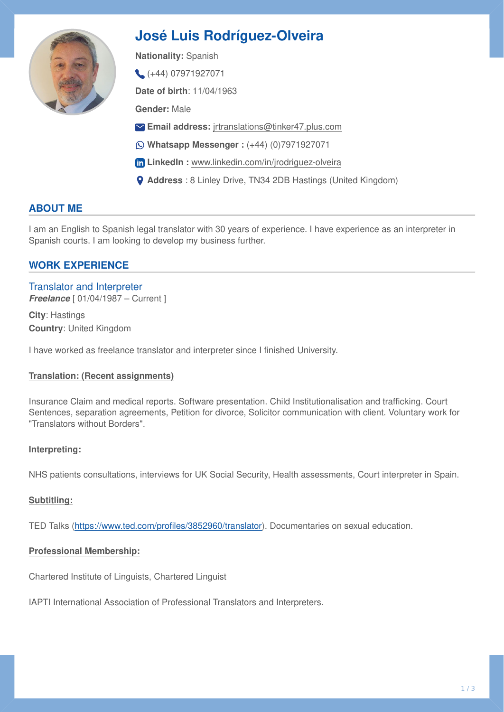

# **José Luis Rodríguez-Olveira**

**Nationality:** Spanish

 $( +44) 07971927071$ 

**Date of birth**: 11/04/1963

**Gender:** Male

- **Email address:** [jrtranslations@tinker47.plus.com](mailto:jrtranslations@tinker47.plus.com)
- **Whatsapp Messenger :** (+44) (0)7971927071
- **In LinkedIn :** [www.linkedin.com/in/jrodriguez-olveira](http://www.linkedin.com/in/jrodriguez-olveira)
- **Address** : 8 Linley Drive, TN34 2DB Hastings (United Kingdom)

# **ABOUT ME**

I am an English to Spanish legal translator with 30 years of experience. I have experience as an interpreter in Spanish courts. I am looking to develop my business further.

# **WORK EXPERIENCE**

Translator and Interpreter **Freelance** [ 01/04/1987 – Current ]

**City**: Hastings **Country**: United Kingdom

I have worked as freelance translator and interpreter since I finished University.

## **Translation: (Recent assignments)**

Insurance Claim and medical reports. Software presentation. Child Institutionalisation and trafficking. Court Sentences, separation agreements, Petition for divorce, Solicitor communication with client. Voluntary work for "Translators without Borders".

## **Interpreting:**

NHS patients consultations, interviews for UK Social Security, Health assessments, Court interpreter in Spain.

## **Subtitling:**

TED Talks [\(https://www.ted.com/pro](https://www.ted.com/profiles/3852960/translator)files/3852960/translator). Documentaries on sexual education.

## **Professional Membership:**

Chartered Institute of Linguists, Chartered Linguist

IAPTI International Association of Professional Translators and Interpreters.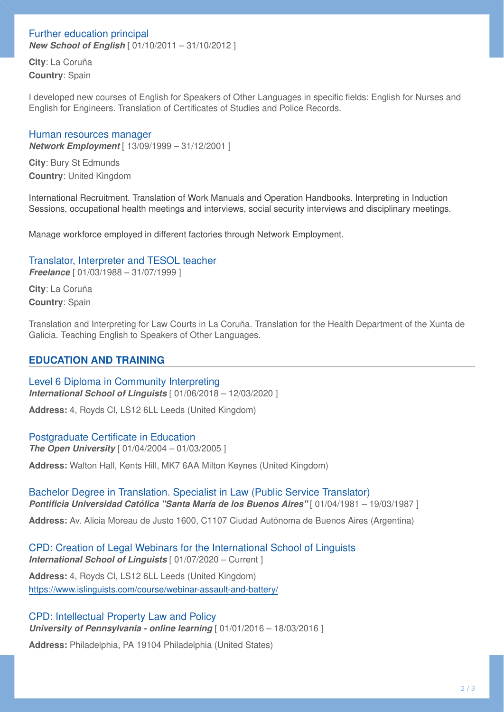# Further education principal

*New School of English* [ 01/10/2011 – 31/10/2012 ]

**City**: La Coruña **Country**: Spain

I developed new courses of English for Speakers of Other Languages in specific fields: English for Nurses and English for Engineers. Translation of Certificates of Studies and Police Records.

#### Human resources manager

*Network Employment* [ 13/09/1999 – 31/12/2001 ]

**City**: Bury St Edmunds **Country**: United Kingdom

International Recruitment. Translation of Work Manuals and Operation Handbooks. Interpreting in Induction Sessions, occupational health meetings and interviews, social security interviews and disciplinary meetings.

Manage workforce employed in different factories through Network Employment.

## Translator, Interpreter and TESOL teacher

*Freelance* [ 01/03/1988 – 31/07/1999 ]

**City**: La Coruña **Country**: Spain

Translation and Interpreting for Law Courts in La Coruña. Translation for the Health Department of the Xunta de Galicia. Teaching English to Speakers of Other Languages.

# **EDUCATION AND TRAINING**

Level 6 Diploma in Community Interpreting *International School of Linguists* [ 01/06/2018 – 12/03/2020 ]

**Address:** 4, Royds Cl, LS12 6LL Leeds (United Kingdom)

## Postgraduate Certificate in Education

**The Open University** [ 01/04/2004 – 01/03/2005 ]

**Address:** Walton Hall, Kents Hill, MK7 6AA Milton Keynes (United Kingdom)

Bachelor Degree in Translation. Specialist in Law (Public Service Translator) *Pontificia Universidad Católica "Santa María de los Buenos Aires"* [ 01/04/1981 – 19/03/1987 ]

**Address:** Av. Alicia Moreau de Justo 1600, C1107 Ciudad Autónoma de Buenos Aires (Argentina)

CPD: Creation of Legal Webinars for the International School of Linguists *International School of Linguists* [ 01/07/2020 – Current ] **Address:** 4, Royds Cl, LS12 6LL Leeds (United Kingdom)

<https://www.islinguists.com/course/webinar-assault-and-battery/>

# CPD: Intellectual Property Law and Policy *University of Pennsylvania - online learning* [ 01/01/2016 – 18/03/2016 ]

**Address:** Philadelphia, PA 19104 Philadelphia (United States)